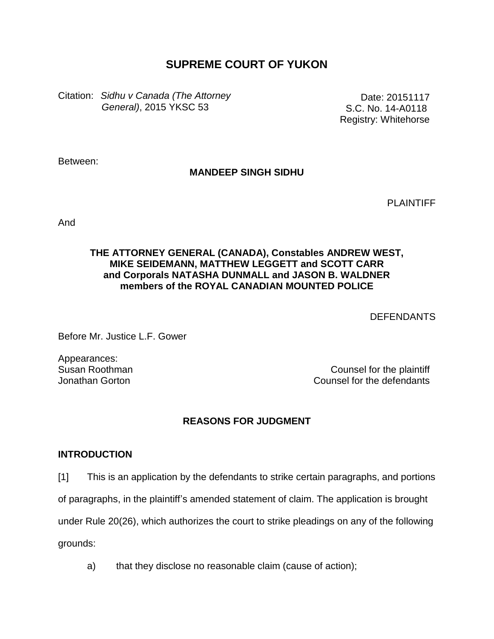# **SUPREME COURT OF YUKON**

Citation: *Sidhu v Canada (The Attorney General)*, 2015 YKSC 53

Date: 20151117 S.C. No. 14-A0118 Registry: Whitehorse

Between:

## **MANDEEP SINGH SIDHU**

PLAINTIFF

And

### **THE ATTORNEY GENERAL (CANADA), Constables ANDREW WEST, MIKE SEIDEMANN, MATTHEW LEGGETT and SCOTT CARR and Corporals NATASHA DUNMALL and JASON B. WALDNER members of the ROYAL CANADIAN MOUNTED POLICE**

DEFENDANTS

Before Mr. Justice L.F. Gower

Appearances: Susan Roothman Jonathan Gorton

Counsel for the plaintiff Counsel for the defendants

## **REASONS FOR JUDGMENT**

#### **INTRODUCTION**

[1] This is an application by the defendants to strike certain paragraphs, and portions

of paragraphs, in the plaintiff's amended statement of claim. The application is brought

under Rule 20(26), which authorizes the court to strike pleadings on any of the following

grounds:

a) that they disclose no reasonable claim (cause of action);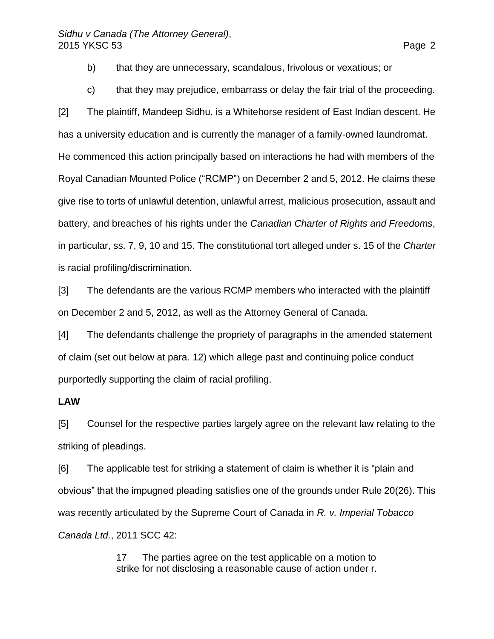- b) that they are unnecessary, scandalous, frivolous or vexatious; or
- c) that they may prejudice, embarrass or delay the fair trial of the proceeding.

[2] The plaintiff, Mandeep Sidhu, is a Whitehorse resident of East Indian descent. He has a university education and is currently the manager of a family-owned laundromat. He commenced this action principally based on interactions he had with members of the Royal Canadian Mounted Police ("RCMP") on December 2 and 5, 2012. He claims these give rise to torts of unlawful detention, unlawful arrest, malicious prosecution, assault and battery, and breaches of his rights under the *Canadian Charter of Rights and Freedoms*, in particular, ss. 7, 9, 10 and 15. The constitutional tort alleged under s. 15 of the *Charter* is racial profiling/discrimination.

[3] The defendants are the various RCMP members who interacted with the plaintiff on December 2 and 5, 2012, as well as the Attorney General of Canada.

[4] The defendants challenge the propriety of paragraphs in the amended statement of claim (set out below at para. 12) which allege past and continuing police conduct purportedly supporting the claim of racial profiling.

#### **LAW**

[5] Counsel for the respective parties largely agree on the relevant law relating to the striking of pleadings.

[6] The applicable test for striking a statement of claim is whether it is "plain and obvious" that the impugned pleading satisfies one of the grounds under Rule 20(26). This was recently articulated by the Supreme Court of Canada in *R. v. Imperial Tobacco Canada Ltd.*, 2011 SCC 42:

> 17 The parties agree on the test applicable on a motion to strike for not disclosing a reasonable cause of action under r.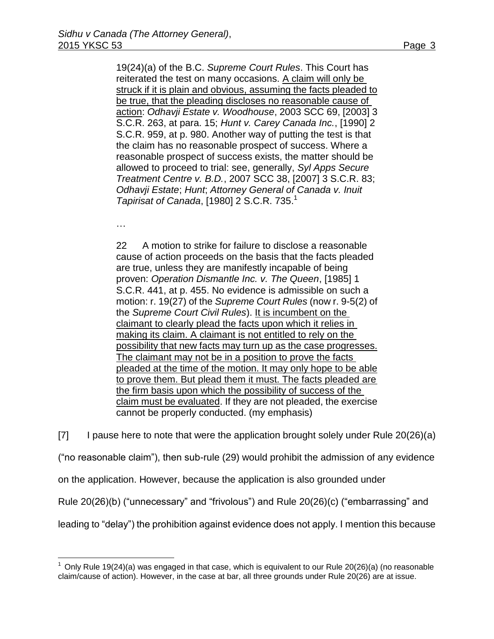19(24)(a) of the B.C. *Supreme Court Rules*. This Court has reiterated the test on many occasions. A claim will only be struck if it is plain and obvious, assuming the facts pleaded to be true, that the pleading discloses no reasonable cause of action: *Odhavji Estate v. Woodhouse*, [2003 SCC 69,](http://www.lexisnexis.com/ca/legal/search/runRemoteLink.do?A=0.5423391172586114&bct=A&service=citation&risb=21_T22973885285&langcountry=CA&linkInfo=F%23CA%23SCC%23sel1%252003%25year%252003%25decisiondate%252003%25onum%2569%25%20/%20_parent) [\[2003\] 3](http://www.lexisnexis.com/ca/legal/search/runRemoteLink.do?A=0.2395869425334033&bct=A&service=citation&risb=21_T22973885285&langcountry=CA&linkInfo=F%23CA%23SCR%23vol%253%25sel1%252003%25page%25263%25year%252003%25sel2%253%25%20/%20_parent)  [S.C.R. 263,](http://www.lexisnexis.com/ca/legal/search/runRemoteLink.do?A=0.2395869425334033&bct=A&service=citation&risb=21_T22973885285&langcountry=CA&linkInfo=F%23CA%23SCR%23vol%253%25sel1%252003%25page%25263%25year%252003%25sel2%253%25%20/%20_parent) at para. 15; *Hunt v. Carey Canada Inc.*, [\[1990\] 2](http://www.lexisnexis.com/ca/legal/search/runRemoteLink.do?A=0.18672871966866078&bct=A&service=citation&risb=21_T22973885285&langcountry=CA&linkInfo=F%23CA%23SCR%23vol%252%25sel1%251990%25page%25959%25year%251990%25sel2%252%25%20/%20_parent)  [S.C.R. 959,](http://www.lexisnexis.com/ca/legal/search/runRemoteLink.do?A=0.18672871966866078&bct=A&service=citation&risb=21_T22973885285&langcountry=CA&linkInfo=F%23CA%23SCR%23vol%252%25sel1%251990%25page%25959%25year%251990%25sel2%252%25%20/%20_parent) at p. 980. Another way of putting the test is that the claim has no reasonable prospect of success. Where a reasonable prospect of success exists, the matter should be allowed to proceed to trial: see, generally, *Syl Apps Secure Treatment Centre v. B.D.*, [2007 SCC 38,](http://www.lexisnexis.com/ca/legal/search/runRemoteLink.do?A=0.7682477792214695&bct=A&service=citation&risb=21_T22973885285&langcountry=CA&linkInfo=F%23CA%23SCC%23sel1%252007%25year%252007%25decisiondate%252007%25onum%2538%25%20/%20_parent) [\[2007\] 3 S.C.R. 83;](http://www.lexisnexis.com/ca/legal/search/runRemoteLink.do?A=0.8024430459238873&bct=A&service=citation&risb=21_T22973885285&langcountry=CA&linkInfo=F%23CA%23SCR%23vol%253%25sel1%252007%25page%2583%25year%252007%25sel2%253%25%20/%20_parent) *Odhavji Estate*; *Hunt*; *Attorney General of Canada v. Inuit Tapirisat of Canada*, [\[1980\] 2 S.C.R. 735.](http://www.lexisnexis.com/ca/legal/search/runRemoteLink.do?A=0.698376565284574&bct=A&service=citation&risb=21_T22973885285&langcountry=CA&linkInfo=F%23CA%23SCR%23vol%252%25sel1%251980%25page%25735%25year%251980%25sel2%252%25%20/%20_parent) 1

…

 $\overline{a}$ 

22 A motion to strike for failure to disclose a reasonable cause of action proceeds on the basis that the facts pleaded are true, unless they are manifestly incapable of being proven: *Operation Dismantle Inc. v. The Queen*, [\[1985\] 1](http://www.lexisnexis.com/ca/legal/search/runRemoteLink.do?A=0.5560469451956467&bct=A&service=citation&risb=21_T22973885285&langcountry=CA&linkInfo=F%23CA%23SCR%23vol%251%25sel1%251985%25page%25441%25year%251985%25sel2%251%25%20/%20_parent)  [S.C.R. 441,](http://www.lexisnexis.com/ca/legal/search/runRemoteLink.do?A=0.5560469451956467&bct=A&service=citation&risb=21_T22973885285&langcountry=CA&linkInfo=F%23CA%23SCR%23vol%251%25sel1%251985%25page%25441%25year%251985%25sel2%251%25%20/%20_parent) at p. 455. No evidence is admissible on such a motion: r. 19(27) of the *Supreme Court Rules* (now r. 9-5(2) of the *Supreme Court Civil Rules*). It is incumbent on the claimant to clearly plead the facts upon which it relies in making its claim. A claimant is not entitled to rely on the possibility that new facts may turn up as the case progresses. The claimant may not be in a position to prove the facts pleaded at the time of the motion. It may only hope to be able to prove them. But plead them it must. The facts pleaded are the firm basis upon which the possibility of success of the claim must be evaluated. If they are not pleaded, the exercise cannot be properly conducted. (my emphasis)

 $[7]$  I pause here to note that were the application brought solely under Rule 20(26)(a)

("no reasonable claim"), then sub-rule (29) would prohibit the admission of any evidence

on the application. However, because the application is also grounded under

Rule 20(26)(b) ("unnecessary" and "frivolous") and Rule 20(26)(c) ("embarrassing" and

leading to "delay") the prohibition against evidence does not apply. I mention this because

 $1$  Only Rule 19(24)(a) was engaged in that case, which is equivalent to our Rule 20(26)(a) (no reasonable claim/cause of action). However, in the case at bar, all three grounds under Rule 20(26) are at issue.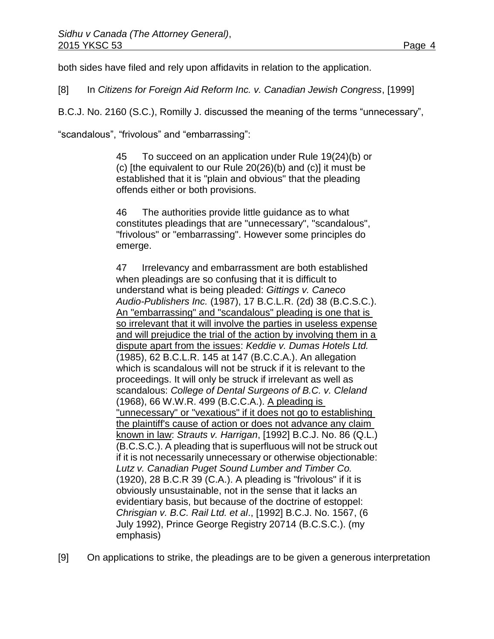both sides have filed and rely upon affidavits in relation to the application.

[8] In *Citizens for Foreign Aid Reform Inc. v. Canadian Jewish Congress*, [1999]

B.C.J. No. 2160 (S.C.), Romilly J. discussed the meaning of the terms "unnecessary",

"scandalous", "frivolous" and "embarrassing":

45 To succeed on an application under Rule 19(24)(b) or (c) [the equivalent to our Rule 20(26)(b) and (c)] it must be established that it is "plain and obvious" that the pleading offends either or both provisions.

46 The authorities provide little guidance as to what constitutes pleadings that are "unnecessary", "scandalous", "frivolous" or "embarrassing". However some principles do emerge.

47 Irrelevancy and embarrassment are both established when pleadings are so confusing that it is difficult to understand what is being pleaded: *Gittings v. Caneco Audio-Publishers Inc.* [\(1987\), 17 B.C.L.R. \(2d\) 38](http://www.lexisnexis.com/ca/legal/search/runRemoteLink.do?A=0.626466752173203&bct=A&service=citation&risb=21_T22973983970&langcountry=CA&linkInfo=F%23CA%23BCLR2%23vol%2517%25sel1%251987%25page%2538%25year%251987%25sel2%2517%25decisiondate%251987%25%20/%20_parent) (B.C.S.C.). An "embarrassing" and "scandalous" pleading is one that is so irrelevant that it will involve the parties in useless expense and will prejudice the trial of the action by involving them in a dispute apart from the issues: *Keddie v. Dumas Hotels Ltd.* [\(1985\), 62 B.C.L.R. 145](http://www.lexisnexis.com/ca/legal/search/runRemoteLink.do?A=0.6851904083017594&bct=A&service=citation&risb=21_T22973983970&langcountry=CA&linkInfo=F%23CA%23BCLR%23vol%2562%25sel1%251985%25page%25145%25year%251985%25sel2%2562%25decisiondate%251985%25%20/%20_parent) at 147 (B.C.C.A.). An allegation which is scandalous will not be struck if it is relevant to the proceedings. It will only be struck if irrelevant as well as scandalous: *College of Dental Surgeons of B.C. v. Cleland* [\(1968\), 66 W.W.R. 499](http://www.lexisnexis.com/ca/legal/search/runRemoteLink.do?A=0.8972725116042874&bct=A&service=citation&risb=21_T22973983970&langcountry=CA&linkInfo=F%23CA%23WWR%23vol%2566%25sel1%251968%25page%25499%25year%251968%25sel2%2566%25decisiondate%251968%25%20/%20_parent) (B.C.C.A.). A pleading is "unnecessary" or "vexatious" if it does not go to establishing the plaintiff's cause of action or does not advance any claim known in law: *Strauts v. Harrigan*, [\[1992\] B.C.J. No. 86](http://www.lexisnexis.com/ca/legal/search/runRemoteLink.do?A=0.11805539444999136&bct=A&service=citation&risb=21_T22973983970&langcountry=CA&linkInfo=F%23CA%23BCJ%23ref%2586%25sel1%251992%25year%251992%25%20/%20_parent) (Q.L.) (B.C.S.C.). A pleading that is superfluous will not be struck out if it is not necessarily unnecessary or otherwise objectionable: *Lutz v. Canadian Puget Sound Lumber and Timber Co.* (1920), 28 B.C.R 39 (C.A.). A pleading is "frivolous" if it is obviously unsustainable, not in the sense that it lacks an evidentiary basis, but because of the doctrine of estoppel: *Chrisgian v. B.C. Rail Ltd. et al*., [\[1992\] B.C.J. No. 1567,](http://www.lexisnexis.com/ca/legal/search/runRemoteLink.do?A=0.6117101061762986&bct=A&service=citation&risb=21_T22973983970&langcountry=CA&linkInfo=F%23CA%23BCJ%23ref%251567%25sel1%251992%25year%251992%25%20/%20_parent) (6 July 1992), Prince George Registry 20714 (B.C.S.C.). (my emphasis)

[9] On applications to strike, the pleadings are to be given a generous interpretation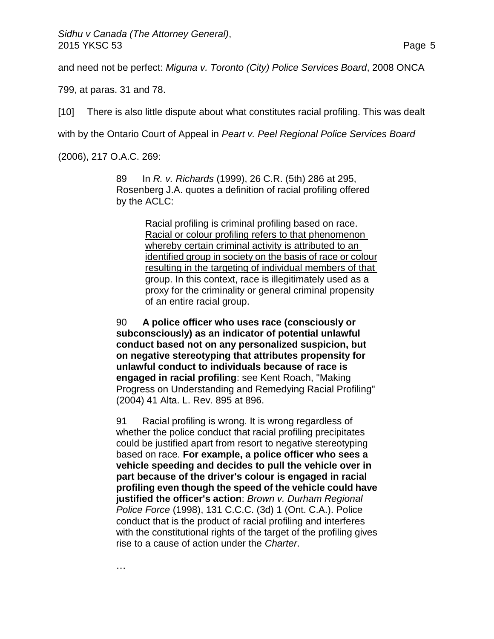and need not be perfect: *Miguna v. Toronto (City) Police Services Board*, 2008 ONCA

799, at paras. 31 and 78.

[10] There is also little dispute about what constitutes racial profiling. This was dealt

with by the Ontario Court of Appeal in *Peart v. Peel Regional Police Services Board*

(2006), 217 O.A.C. 269:

…

89 In *R. v. Richards* [\(1999\), 26 C.R. \(5th\) 286](http://www.lexisnexis.com/ca/legal/search/runRemoteLink.do?A=0.21658611917030757&bct=A&service=citation&risb=21_T22974121165&langcountry=CA&linkInfo=F%23CA%23CR5%23vol%2526%25sel1%251999%25page%25286%25year%251999%25sel2%2526%25decisiondate%251999%25%20/%20_parent) at 295, Rosenberg J.A. quotes a definition of racial profiling offered by the ACLC:

> Racial profiling is criminal profiling based on race. Racial or colour profiling refers to that phenomenon whereby certain criminal activity is attributed to an identified group in society on the basis of race or colour resulting in the targeting of individual members of that group. In this context, race is illegitimately used as a proxy for the criminality or general criminal propensity of an entire racial group.

90 **A police officer who uses race (consciously or subconsciously) as an indicator of potential unlawful conduct based not on any personalized suspicion, but on negative stereotyping that attributes propensity for unlawful conduct to individuals because of race is engaged in racial profiling**: see Kent Roach, "Making Progress on Understanding and Remedying Racial Profiling" [\(2004\) 41 Alta. L. Rev. 895](http://www.lexisnexis.com/ca/legal/search/runRemoteLink.do?A=0.8593645502936513&bct=A&service=citation&risb=21_T22974121165&langcountry=CA&linkInfo=F%23CA%23ALTLR%23vol%2541%25page%25895%25sel2%2541%25%20/%20_parent) at 896.

91 Racial profiling is wrong. It is wrong regardless of whether the police conduct that racial profiling precipitates could be justified apart from resort to negative stereotyping based on race. **For example, a police officer who sees a vehicle speeding and decides to pull the vehicle over in part because of the driver's colour is engaged in racial profiling even though the speed of the vehicle could have justified the officer's action**: *Brown v. Durham Regional Police Force* [\(1998\), 131 C.C.C. \(3d\) 1](http://www.lexisnexis.com/ca/legal/search/runRemoteLink.do?A=0.4481278864442656&bct=A&service=citation&risb=21_T22974121165&langcountry=CA&linkInfo=F%23CA%23CCC3%23vol%25131%25sel1%251998%25page%251%25year%251998%25sel2%25131%25decisiondate%251998%25%20/%20_parent) (Ont. C.A.). Police conduct that is the product of racial profiling and interferes with the constitutional rights of the target of the profiling gives rise to a cause of action under the *Charter*.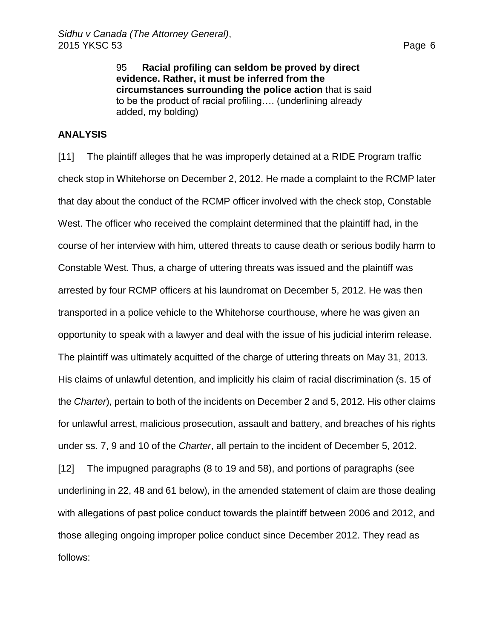95 **Racial profiling can seldom be proved by direct evidence. Rather, it must be inferred from the circumstances surrounding the police action** that is said to be the product of racial profiling…. (underlining already added, my bolding)

#### **ANALYSIS**

[11] The plaintiff alleges that he was improperly detained at a RIDE Program traffic check stop in Whitehorse on December 2, 2012. He made a complaint to the RCMP later that day about the conduct of the RCMP officer involved with the check stop, Constable West. The officer who received the complaint determined that the plaintiff had, in the course of her interview with him, uttered threats to cause death or serious bodily harm to Constable West. Thus, a charge of uttering threats was issued and the plaintiff was arrested by four RCMP officers at his laundromat on December 5, 2012. He was then transported in a police vehicle to the Whitehorse courthouse, where he was given an opportunity to speak with a lawyer and deal with the issue of his judicial interim release. The plaintiff was ultimately acquitted of the charge of uttering threats on May 31, 2013. His claims of unlawful detention, and implicitly his claim of racial discrimination (s. 15 of the *Charter*), pertain to both of the incidents on December 2 and 5, 2012. His other claims for unlawful arrest, malicious prosecution, assault and battery, and breaches of his rights under ss. 7, 9 and 10 of the *Charter*, all pertain to the incident of December 5, 2012. [12] The impugned paragraphs (8 to 19 and 58), and portions of paragraphs (see underlining in 22, 48 and 61 below), in the amended statement of claim are those dealing

those alleging ongoing improper police conduct since December 2012. They read as follows:

with allegations of past police conduct towards the plaintiff between 2006 and 2012, and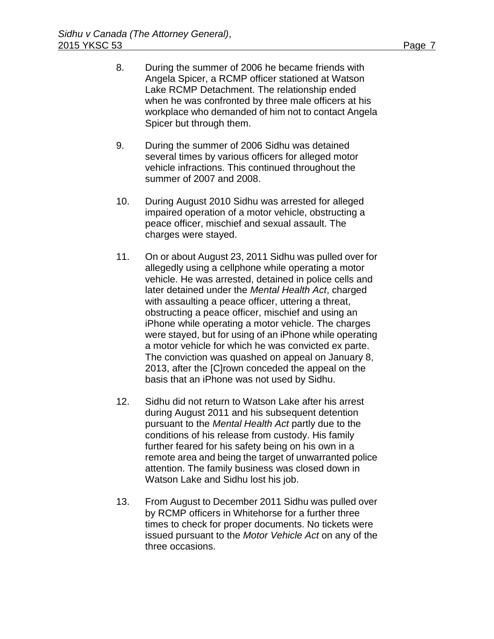- 8. During the summer of 2006 he became friends with Angela Spicer, a RCMP officer stationed at Watson Lake RCMP Detachment. The relationship ended when he was confronted by three male officers at his workplace who demanded of him not to contact Angela Spicer but through them.
- 9. During the summer of 2006 Sidhu was detained several times by various officers for alleged motor vehicle infractions. This continued throughout the summer of 2007 and 2008.
- 10. During August 2010 Sidhu was arrested for alleged impaired operation of a motor vehicle, obstructing a peace officer, mischief and sexual assault. The charges were stayed.
- 11. On or about August 23, 2011 Sidhu was pulled over for allegedly using a cellphone while operating a motor vehicle. He was arrested, detained in police cells and later detained under the *Mental Health Act*, charged with assaulting a peace officer, uttering a threat, obstructing a peace officer, mischief and using an iPhone while operating a motor vehicle. The charges were stayed, but for using of an iPhone while operating a motor vehicle for which he was convicted ex parte. The conviction was quashed on appeal on January 8, 2013, after the [C]rown conceded the appeal on the basis that an iPhone was not used by Sidhu.
- 12. Sidhu did not return to Watson Lake after his arrest during August 2011 and his subsequent detention pursuant to the *Mental Health Act* partly due to the conditions of his release from custody. His family further feared for his safety being on his own in a remote area and being the target of unwarranted police attention. The family business was closed down in Watson Lake and Sidhu lost his job.
- 13. From August to December 2011 Sidhu was pulled over by RCMP officers in Whitehorse for a further three times to check for proper documents. No tickets were issued pursuant to the *Motor Vehicle Act* on any of the three occasions.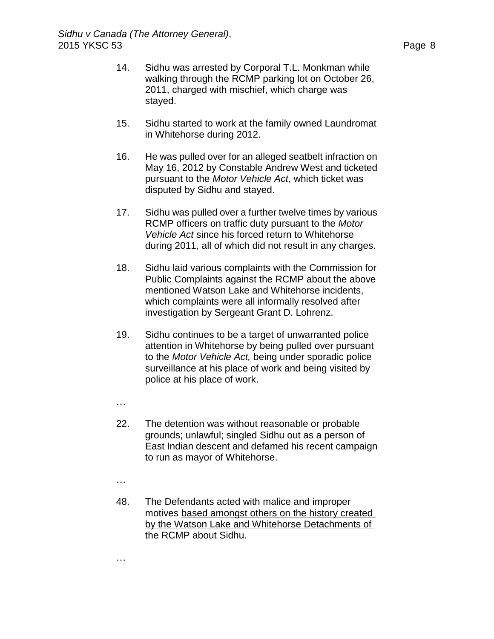- 14. Sidhu was arrested by Corporal T.L. Monkman while walking through the RCMP parking lot on October 26, 2011, charged with mischief, which charge was stayed.
- 15. Sidhu started to work at the family owned Laundromat in Whitehorse during 2012.
- 16. He was pulled over for an alleged seatbelt infraction on May 16, 2012 by Constable Andrew West and ticketed pursuant to the *Motor Vehicle Act*, which ticket was disputed by Sidhu and stayed.
- 17. Sidhu was pulled over a further twelve times by various RCMP officers on traffic duty pursuant to the *Motor Vehicle Act* since his forced return to Whitehorse during 2011*,* all of which did not result in any charges.
- 18. Sidhu laid various complaints with the Commission for Public Complaints against the RCMP about the above mentioned Watson Lake and Whitehorse incidents, which complaints were all informally resolved after investigation by Sergeant Grant D. Lohrenz.
- 19. Sidhu continues to be a target of unwarranted police attention in Whitehorse by being pulled over pursuant to the *Motor Vehicle Act,* being under sporadic police surveillance at his place of work and being visited by police at his place of work.
- …
- 22. The detention was without reasonable or probable grounds; unlawful; singled Sidhu out as a person of East Indian descent and defamed his recent campaign to run as mayor of Whitehorse.
- …

…

48. The Defendants acted with malice and improper motives based amongst others on the history created by the Watson Lake and Whitehorse Detachments of the RCMP about Sidhu.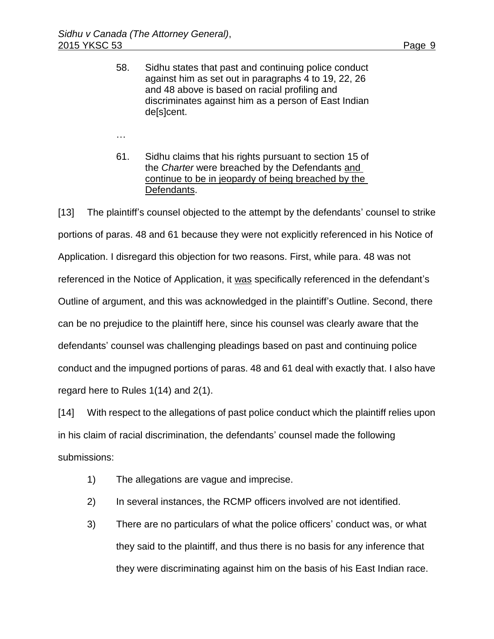…

- 
- 58. Sidhu states that past and continuing police conduct against him as set out in paragraphs 4 to 19, 22, 26 and 48 above is based on racial profiling and discriminates against him as a person of East Indian de[s]cent.
- 61. Sidhu claims that his rights pursuant to section 15 of the *Charter* were breached by the Defendants and continue to be in jeopardy of being breached by the Defendants.

[13] The plaintiff's counsel objected to the attempt by the defendants' counsel to strike portions of paras. 48 and 61 because they were not explicitly referenced in his Notice of Application. I disregard this objection for two reasons. First, while para. 48 was not referenced in the Notice of Application, it was specifically referenced in the defendant's Outline of argument, and this was acknowledged in the plaintiff's Outline. Second, there can be no prejudice to the plaintiff here, since his counsel was clearly aware that the defendants' counsel was challenging pleadings based on past and continuing police conduct and the impugned portions of paras. 48 and 61 deal with exactly that. I also have regard here to Rules 1(14) and 2(1).

[14] With respect to the allegations of past police conduct which the plaintiff relies upon in his claim of racial discrimination, the defendants' counsel made the following submissions:

- 1) The allegations are vague and imprecise.
- 2) In several instances, the RCMP officers involved are not identified.
- 3) There are no particulars of what the police officers' conduct was, or what they said to the plaintiff, and thus there is no basis for any inference that they were discriminating against him on the basis of his East Indian race.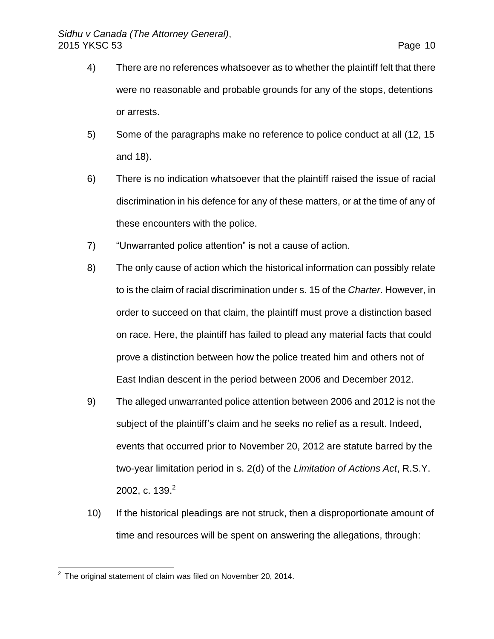- 4) There are no references whatsoever as to whether the plaintiff felt that there were no reasonable and probable grounds for any of the stops, detentions or arrests.
- 5) Some of the paragraphs make no reference to police conduct at all (12, 15 and 18).
- 6) There is no indication whatsoever that the plaintiff raised the issue of racial discrimination in his defence for any of these matters, or at the time of any of these encounters with the police.
- 7) "Unwarranted police attention" is not a cause of action.
- 8) The only cause of action which the historical information can possibly relate to is the claim of racial discrimination under s. 15 of the *Charter*. However, in order to succeed on that claim, the plaintiff must prove a distinction based on race. Here, the plaintiff has failed to plead any material facts that could prove a distinction between how the police treated him and others not of East Indian descent in the period between 2006 and December 2012.
- 9) The alleged unwarranted police attention between 2006 and 2012 is not the subject of the plaintiff's claim and he seeks no relief as a result. Indeed, events that occurred prior to November 20, 2012 are statute barred by the two-year limitation period in s. 2(d) of the *Limitation of Actions Act*, R.S.Y. 2002, c. 139. 2
- 10) If the historical pleadings are not struck, then a disproportionate amount of time and resources will be spent on answering the allegations, through:

 2 The original statement of claim was filed on November 20, 2014.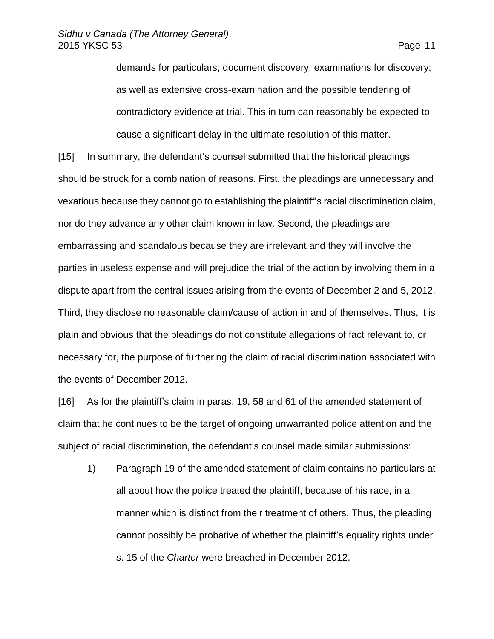demands for particulars; document discovery; examinations for discovery; as well as extensive cross-examination and the possible tendering of contradictory evidence at trial. This in turn can reasonably be expected to cause a significant delay in the ultimate resolution of this matter.

[15] In summary, the defendant's counsel submitted that the historical pleadings should be struck for a combination of reasons. First, the pleadings are unnecessary and vexatious because they cannot go to establishing the plaintiff's racial discrimination claim, nor do they advance any other claim known in law. Second, the pleadings are embarrassing and scandalous because they are irrelevant and they will involve the parties in useless expense and will prejudice the trial of the action by involving them in a dispute apart from the central issues arising from the events of December 2 and 5, 2012. Third, they disclose no reasonable claim/cause of action in and of themselves. Thus, it is plain and obvious that the pleadings do not constitute allegations of fact relevant to, or necessary for, the purpose of furthering the claim of racial discrimination associated with the events of December 2012.

[16] As for the plaintiff's claim in paras. 19, 58 and 61 of the amended statement of claim that he continues to be the target of ongoing unwarranted police attention and the subject of racial discrimination, the defendant's counsel made similar submissions:

1) Paragraph 19 of the amended statement of claim contains no particulars at all about how the police treated the plaintiff, because of his race, in a manner which is distinct from their treatment of others. Thus, the pleading cannot possibly be probative of whether the plaintiff's equality rights under s. 15 of the *Charter* were breached in December 2012.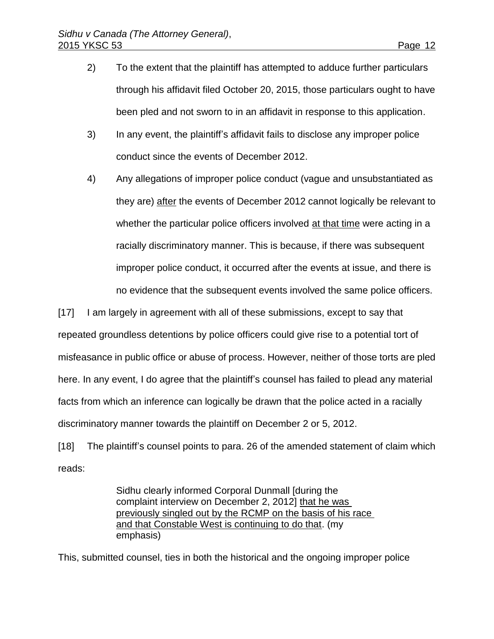- 2) To the extent that the plaintiff has attempted to adduce further particulars through his affidavit filed October 20, 2015, those particulars ought to have been pled and not sworn to in an affidavit in response to this application.
- 3) In any event, the plaintiff's affidavit fails to disclose any improper police conduct since the events of December 2012.
- 4) Any allegations of improper police conduct (vague and unsubstantiated as they are) after the events of December 2012 cannot logically be relevant to whether the particular police officers involved at that time were acting in a racially discriminatory manner. This is because, if there was subsequent improper police conduct, it occurred after the events at issue, and there is no evidence that the subsequent events involved the same police officers.

[17] I am largely in agreement with all of these submissions, except to say that repeated groundless detentions by police officers could give rise to a potential tort of misfeasance in public office or abuse of process. However, neither of those torts are pled here. In any event, I do agree that the plaintiff's counsel has failed to plead any material facts from which an inference can logically be drawn that the police acted in a racially discriminatory manner towards the plaintiff on December 2 or 5, 2012.

[18] The plaintiff's counsel points to para. 26 of the amended statement of claim which reads:

> Sidhu clearly informed Corporal Dunmall [during the complaint interview on December 2, 2012] that he was previously singled out by the RCMP on the basis of his race and that Constable West is continuing to do that. (my emphasis)

This, submitted counsel, ties in both the historical and the ongoing improper police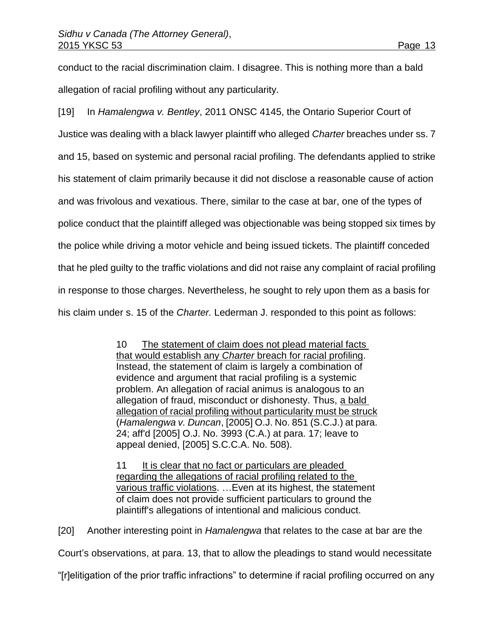conduct to the racial discrimination claim. I disagree. This is nothing more than a bald allegation of racial profiling without any particularity.

[19] In *Hamalengwa v. Bentley*, 2011 ONSC 4145, the Ontario Superior Court of Justice was dealing with a black lawyer plaintiff who alleged *Charter* breaches under ss. 7 and 15, based on systemic and personal racial profiling. The defendants applied to strike his statement of claim primarily because it did not disclose a reasonable cause of action and was frivolous and vexatious. There, similar to the case at bar, one of the types of police conduct that the plaintiff alleged was objectionable was being stopped six times by the police while driving a motor vehicle and being issued tickets. The plaintiff conceded that he pled guilty to the traffic violations and did not raise any complaint of racial profiling in response to those charges. Nevertheless, he sought to rely upon them as a basis for his claim under s. 15 of the *Charter.* Lederman J. responded to this point as follows:

> 10 The statement of claim does not plead material facts that would establish any *Charter* breach for racial profiling. Instead, the statement of claim is largely a combination of evidence and argument that racial profiling is a systemic problem. An allegation of racial animus is analogous to an allegation of fraud, misconduct or dishonesty. Thus, a bald allegation of racial profiling without particularity must be struck (*Hamalengwa v. Duncan*, [\[2005\] O.J. No. 851](http://www.lexisnexis.com/ca/legal/search/runRemoteLink.do?A=0.13918597699815782&bct=A&service=citation&risb=21_T22975537676&langcountry=CA&linkInfo=F%23CA%23OJ%23ref%25851%25sel1%252005%25year%252005%25%20/%20_parent) (S.C.J.) at para. 24; aff'd [\[2005\] O.J. No. 3993](http://www.lexisnexis.com/ca/legal/search/runRemoteLink.do?A=0.35061082467360805&bct=A&service=citation&risb=21_T22975537676&langcountry=CA&linkInfo=F%23CA%23OJ%23ref%253993%25sel1%252005%25year%252005%25%20/%20_parent) (C.A.) at para. 17; leave to appeal denied, [\[2005\] S.C.C.A. No. 508\)](http://www.lexisnexis.com/ca/legal/search/runRemoteLink.do?A=0.1575776569103189&bct=A&service=citation&risb=21_T22975537676&langcountry=CA&linkInfo=F%23CA%23SCCA%23ref%25508%25sel1%252005%25year%252005%25%20/%20_parent).

11 It is clear that no fact or particulars are pleaded regarding the allegations of racial profiling related to the various traffic violations. ... Even at its highest, the statement of claim does not provide sufficient particulars to ground the plaintiff's allegations of intentional and malicious conduct.

[20] Another interesting point in *Hamalengwa* that relates to the case at bar are the Court's observations, at para. 13, that to allow the pleadings to stand would necessitate

"[r]elitigation of the prior traffic infractions" to determine if racial profiling occurred on any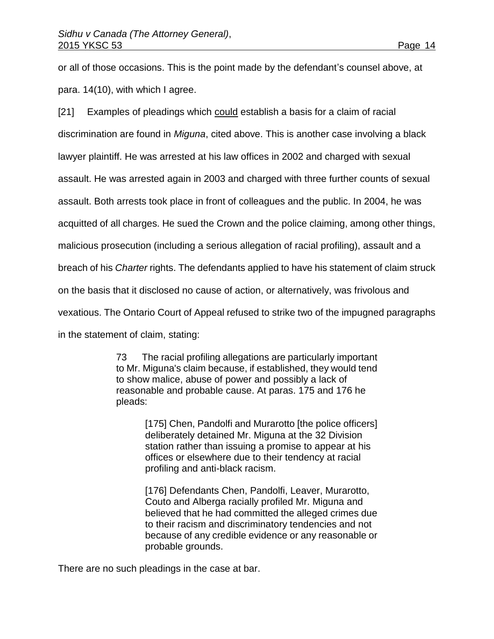or all of those occasions. This is the point made by the defendant's counsel above, at para. 14(10), with which I agree.

[21] Examples of pleadings which could establish a basis for a claim of racial discrimination are found in *Miguna*, cited above. This is another case involving a black lawyer plaintiff. He was arrested at his law offices in 2002 and charged with sexual assault. He was arrested again in 2003 and charged with three further counts of sexual assault. Both arrests took place in front of colleagues and the public. In 2004, he was acquitted of all charges. He sued the Crown and the police claiming, among other things, malicious prosecution (including a serious allegation of racial profiling), assault and a breach of his *Charter* rights. The defendants applied to have his statement of claim struck on the basis that it disclosed no cause of action, or alternatively, was frivolous and vexatious. The Ontario Court of Appeal refused to strike two of the impugned paragraphs in the statement of claim, stating:

> 73 The racial profiling allegations are particularly important to Mr. Miguna's claim because, if established, they would tend to show malice, abuse of power and possibly a lack of reasonable and probable cause. At paras. 175 and 176 he pleads:

> > [175] Chen, Pandolfi and Murarotto [the police officers] deliberately detained Mr. Miguna at the 32 Division station rather than issuing a promise to appear at his offices or elsewhere due to their tendency at racial profiling and anti-black racism.

> > [176] Defendants Chen, Pandolfi, Leaver, Murarotto, Couto and Alberga racially profiled Mr. Miguna and believed that he had committed the alleged crimes due to their racism and discriminatory tendencies and not because of any credible evidence or any reasonable or probable grounds.

There are no such pleadings in the case at bar.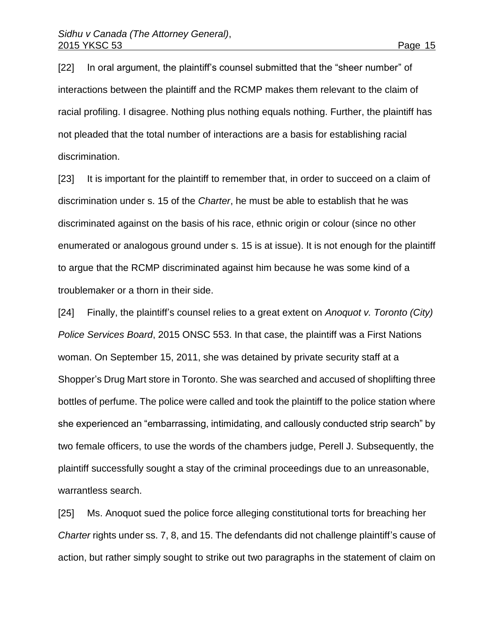[22] In oral argument, the plaintiff's counsel submitted that the "sheer number" of interactions between the plaintiff and the RCMP makes them relevant to the claim of racial profiling. I disagree. Nothing plus nothing equals nothing. Further, the plaintiff has not pleaded that the total number of interactions are a basis for establishing racial discrimination.

[23] It is important for the plaintiff to remember that, in order to succeed on a claim of discrimination under s. 15 of the *Charter*, he must be able to establish that he was discriminated against on the basis of his race, ethnic origin or colour (since no other enumerated or analogous ground under s. 15 is at issue). It is not enough for the plaintiff to argue that the RCMP discriminated against him because he was some kind of a troublemaker or a thorn in their side.

[24] Finally, the plaintiff's counsel relies to a great extent on *Anoquot v. Toronto (City) Police Services Board*, 2015 ONSC 553. In that case, the plaintiff was a First Nations woman. On September 15, 2011, she was detained by private security staff at a Shopper's Drug Mart store in Toronto. She was searched and accused of shoplifting three bottles of perfume. The police were called and took the plaintiff to the police station where she experienced an "embarrassing, intimidating, and callously conducted strip search" by two female officers, to use the words of the chambers judge, Perell J. Subsequently, the plaintiff successfully sought a stay of the criminal proceedings due to an unreasonable, warrantless search.

[25] Ms. Anoquot sued the police force alleging constitutional torts for breaching her *Charter* rights under ss. 7, 8, and 15. The defendants did not challenge plaintiff's cause of action, but rather simply sought to strike out two paragraphs in the statement of claim on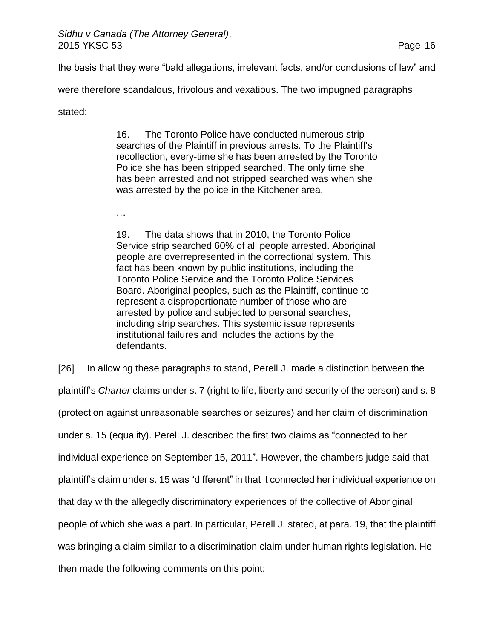the basis that they were "bald allegations, irrelevant facts, and/or conclusions of law" and

were therefore scandalous, frivolous and vexatious. The two impugned paragraphs

stated:

16. The Toronto Police have conducted numerous strip searches of the Plaintiff in previous arrests. To the Plaintiff's recollection, every-time she has been arrested by the Toronto Police she has been stripped searched. The only time she has been arrested and not stripped searched was when she was arrested by the police in the Kitchener area.

…

19. The data shows that in 2010, the Toronto Police Service strip searched 60% of all people arrested. Aboriginal people are overrepresented in the correctional system. This fact has been known by public institutions, including the Toronto Police Service and the Toronto Police Services Board. Aboriginal peoples, such as the Plaintiff, continue to represent a disproportionate number of those who are arrested by police and subjected to personal searches, including strip searches. This systemic issue represents institutional failures and includes the actions by the defendants.

[26] In allowing these paragraphs to stand, Perell J. made a distinction between the

plaintiff's *Charter* claims under s. 7 (right to life, liberty and security of the person) and s. 8 (protection against unreasonable searches or seizures) and her claim of discrimination under s. 15 (equality). Perell J. described the first two claims as "connected to her individual experience on September 15, 2011". However, the chambers judge said that plaintiff's claim under s. 15 was "different" in that it connected her individual experience on that day with the allegedly discriminatory experiences of the collective of Aboriginal people of which she was a part. In particular, Perell J. stated, at para. 19, that the plaintiff was bringing a claim similar to a discrimination claim under human rights legislation. He then made the following comments on this point: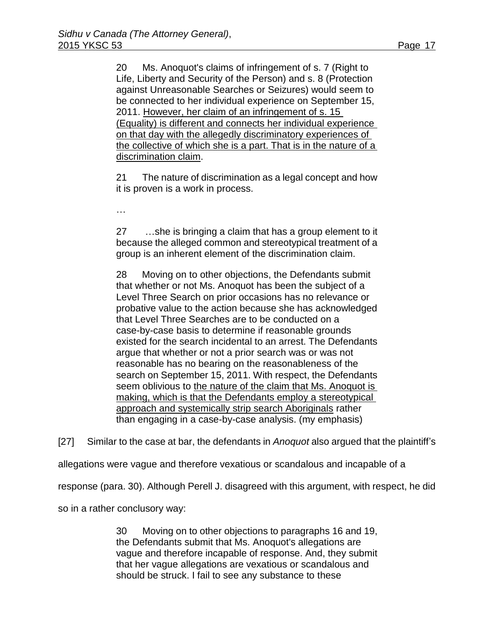20 Ms. Anoquot's claims of infringement of s. 7 (Right to Life, Liberty and Security of the Person) and s. 8 (Protection against Unreasonable Searches or Seizures) would seem to be connected to her individual experience on September 15, 2011. However, her claim of an infringement of s. 15 (Equality) is different and connects her individual experience on that day with the allegedly discriminatory experiences of the collective of which she is a part. That is in the nature of a discrimination claim.

21 The nature of discrimination as a legal concept and how it is proven is a work in process.

…

27 …she is bringing a claim that has a group element to it because the alleged common and stereotypical treatment of a group is an inherent element of the discrimination claim.

28 Moving on to other objections, the Defendants submit that whether or not Ms. Anoquot has been the subject of a Level Three Search on prior occasions has no relevance or probative value to the action because she has acknowledged that Level Three Searches are to be conducted on a case-by-case basis to determine if reasonable grounds existed for the search incidental to an arrest. The Defendants argue that whether or not a prior search was or was not reasonable has no bearing on the reasonableness of the search on September 15, 2011. With respect, the Defendants seem oblivious to the nature of the claim that Ms. Anoquot is making, which is that the Defendants employ a stereotypical approach and systemically strip search Aboriginals rather than engaging in a case-by-case analysis. (my emphasis)

[27] Similar to the case at bar, the defendants in *Anoquot* also argued that the plaintiff's

allegations were vague and therefore vexatious or scandalous and incapable of a

response (para. 30). Although Perell J. disagreed with this argument, with respect, he did

so in a rather conclusory way:

30 Moving on to other objections to paragraphs 16 and 19, the Defendants submit that Ms. Anoquot's allegations are vague and therefore incapable of response. And, they submit that her vague allegations are vexatious or scandalous and should be struck. I fail to see any substance to these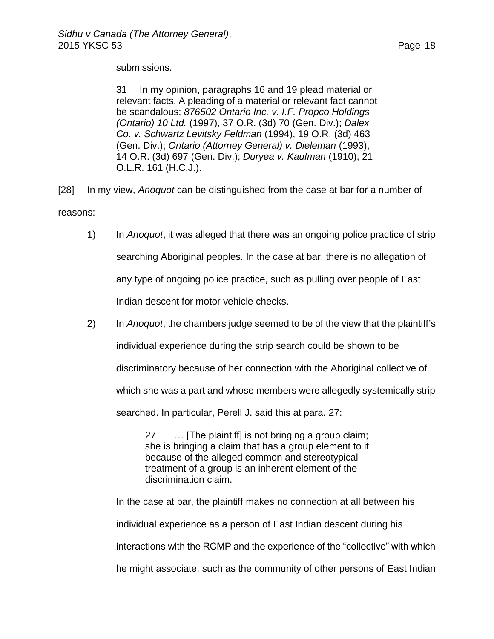submissions.

31 In my opinion, paragraphs 16 and 19 plead material or relevant facts. A pleading of a material or relevant fact cannot be scandalous: *876502 Ontario Inc. v. I.F. Propco Holdings (Ontario) 10 Ltd.* [\(1997\), 37 O.R. \(3d\) 70](http://www.lexisnexis.com/ca/legal/search/runRemoteLink.do?A=0.8691299466302861&bct=A&service=citation&risb=21_T22975712275&langcountry=CA&linkInfo=F%23CA%23OR3%23vol%2537%25sel1%251997%25page%2570%25year%251997%25sel2%2537%25decisiondate%251997%25%20/%20_parent) (Gen. Div.); *Dalex Co. v. Schwartz Levitsky Feldman* [\(1994\), 19 O.R. \(3d\) 463](http://www.lexisnexis.com/ca/legal/search/runRemoteLink.do?A=0.33072061496528393&bct=A&service=citation&risb=21_T22975712275&langcountry=CA&linkInfo=F%23CA%23OR3%23vol%2519%25sel1%251994%25page%25463%25year%251994%25sel2%2519%25decisiondate%251994%25%20/%20_parent) (Gen. Div.); *Ontario (Attorney General) v. Dieleman* [\(1993\),](http://www.lexisnexis.com/ca/legal/search/runRemoteLink.do?A=0.5611953000974055&bct=A&service=citation&risb=21_T22975712275&langcountry=CA&linkInfo=F%23CA%23OR3%23vol%2514%25sel1%251993%25page%25697%25year%251993%25sel2%2514%25decisiondate%251993%25%20/%20_parent)  [14 O.R. \(3d\) 697](http://www.lexisnexis.com/ca/legal/search/runRemoteLink.do?A=0.5611953000974055&bct=A&service=citation&risb=21_T22975712275&langcountry=CA&linkInfo=F%23CA%23OR3%23vol%2514%25sel1%251993%25page%25697%25year%251993%25sel2%2514%25decisiondate%251993%25%20/%20_parent) (Gen. Div.); *Duryea v. Kaufman* (1910), 21 O.L.R. 161 (H.C.J.).

[28] In my view, *Anoquot* can be distinguished from the case at bar for a number of reasons:

- 1) In *Anoquot*, it was alleged that there was an ongoing police practice of strip searching Aboriginal peoples. In the case at bar, there is no allegation of any type of ongoing police practice, such as pulling over people of East Indian descent for motor vehicle checks.
- 2) In *Anoquot*, the chambers judge seemed to be of the view that the plaintiff's individual experience during the strip search could be shown to be discriminatory because of her connection with the Aboriginal collective of which she was a part and whose members were allegedly systemically strip

searched. In particular, Perell J. said this at para. 27:

27 … [The plaintiff] is not bringing a group claim; she is bringing a claim that has a group element to it because of the alleged common and stereotypical treatment of a group is an inherent element of the discrimination claim.

In the case at bar, the plaintiff makes no connection at all between his individual experience as a person of East Indian descent during his interactions with the RCMP and the experience of the "collective" with which he might associate, such as the community of other persons of East Indian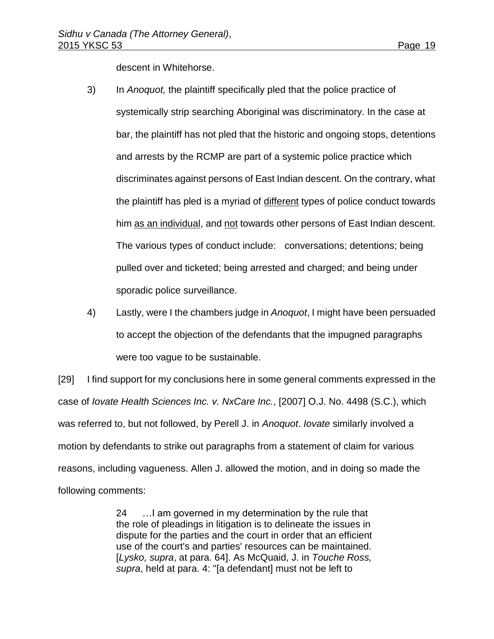descent in Whitehorse.

- 3) In *Anoquot,* the plaintiff specifically pled that the police practice of systemically strip searching Aboriginal was discriminatory. In the case at bar, the plaintiff has not pled that the historic and ongoing stops, detentions and arrests by the RCMP are part of a systemic police practice which discriminates against persons of East Indian descent. On the contrary, what the plaintiff has pled is a myriad of different types of police conduct towards him as an individual, and not towards other persons of East Indian descent. The various types of conduct include: conversations; detentions; being pulled over and ticketed; being arrested and charged; and being under sporadic police surveillance.
- 4) Lastly, were I the chambers judge in *Anoquot*, I might have been persuaded to accept the objection of the defendants that the impugned paragraphs were too vague to be sustainable.

[29] I find support for my conclusions here in some general comments expressed in the case of *Iovate Health Sciences Inc. v. NxCare Inc.*, [2007] O.J. No. 4498 (S.C.), which was referred to, but not followed, by Perell J. in *Anoquot*. *Iovate* similarly involved a motion by defendants to strike out paragraphs from a statement of claim for various reasons, including vagueness. Allen J. allowed the motion, and in doing so made the following comments:

> 24 …I am governed in my determination by the rule that the role of pleadings in litigation is to delineate the issues in dispute for the parties and the court in order that an efficient use of the court's and parties' resources can be maintained. [*Lysko, supra*, at para. 64]. As McQuaid, J. in *Touche Ross, supra*, held at para. 4: "[a defendant] must not be left to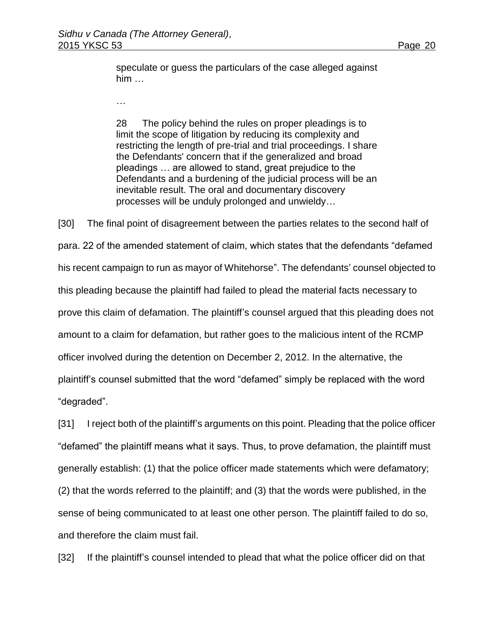speculate or guess the particulars of the case alleged against him …

…

28 The policy behind the rules on proper pleadings is to limit the scope of litigation by reducing its complexity and restricting the length of pre-trial and trial proceedings. I share the Defendants' concern that if the generalized and broad pleadings … are allowed to stand, great prejudice to the Defendants and a burdening of the judicial process will be an inevitable result. The oral and documentary discovery processes will be unduly prolonged and unwieldy…

[30] The final point of disagreement between the parties relates to the second half of para. 22 of the amended statement of claim, which states that the defendants "defamed his recent campaign to run as mayor of Whitehorse". The defendants' counsel objected to this pleading because the plaintiff had failed to plead the material facts necessary to prove this claim of defamation. The plaintiff's counsel argued that this pleading does not amount to a claim for defamation, but rather goes to the malicious intent of the RCMP officer involved during the detention on December 2, 2012. In the alternative, the plaintiff's counsel submitted that the word "defamed" simply be replaced with the word "degraded".

[31] I reject both of the plaintiff's arguments on this point. Pleading that the police officer "defamed" the plaintiff means what it says. Thus, to prove defamation, the plaintiff must generally establish: (1) that the police officer made statements which were defamatory; (2) that the words referred to the plaintiff; and (3) that the words were published, in the sense of being communicated to at least one other person. The plaintiff failed to do so, and therefore the claim must fail.

[32] If the plaintiff's counsel intended to plead that what the police officer did on that